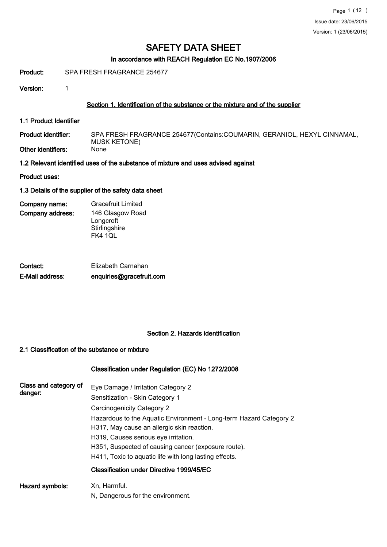## In accordance with REACH Regulation EC No.1907/2006

Product: SPA FRESH FRAGRANCE 254677

Version: 1

#### Section 1. Identification of the substance or the mixture and of the supplier

1.1 Product Identifier

SPA FRESH FRAGRANCE 254677(Contains:COUMARIN, GERANIOL, HEXYL CINNAMAL, MUSK KETONE)<br>None Product identifier: Other identifiers:

1.2 Relevant identified uses of the substance of mixture and uses advised against

Product uses:

#### 1.3 Details of the supplier of the safety data sheet

Company address: Company name: Gracefruit Limited 146 Glasgow Road Longcroft **Stirlingshire** FK4 1QL

| Contact:        | Elizabeth Carnahan       |
|-----------------|--------------------------|
| E-Mail address: | enquiries@gracefruit.com |

### Section 2. Hazards identification

#### 2.1 Classification of the substance or mixture

#### Classification under Regulation (EC) No 1272/2008

| Class and category of<br>danger: | Eye Damage / Irritation Category 2<br>Sensitization - Skin Category 1 |  |  |  |
|----------------------------------|-----------------------------------------------------------------------|--|--|--|
|                                  | Carcinogenicity Category 2                                            |  |  |  |
|                                  | Hazardous to the Aquatic Environment - Long-term Hazard Category 2    |  |  |  |
|                                  | H317, May cause an allergic skin reaction.                            |  |  |  |
|                                  | H319, Causes serious eye irritation.                                  |  |  |  |
|                                  | H351, Suspected of causing cancer (exposure route).                   |  |  |  |
|                                  | H411, Toxic to aquatic life with long lasting effects.                |  |  |  |
|                                  | Classification under Directive 1999/45/EC                             |  |  |  |
| Hazard symbols:                  | Xn, Harmful.                                                          |  |  |  |
|                                  | N, Dangerous for the environment.                                     |  |  |  |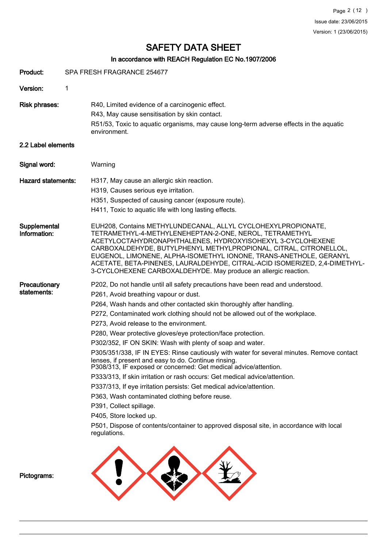## In accordance with REACH Regulation EC No.1907/2006

| Product:                     |   | SPA FRESH FRAGRANCE 254677                                                                                                                                                                                                                                                                                                                                                                                                                                                         |  |  |  |
|------------------------------|---|------------------------------------------------------------------------------------------------------------------------------------------------------------------------------------------------------------------------------------------------------------------------------------------------------------------------------------------------------------------------------------------------------------------------------------------------------------------------------------|--|--|--|
| Version:                     | 1 |                                                                                                                                                                                                                                                                                                                                                                                                                                                                                    |  |  |  |
| <b>Risk phrases:</b>         |   | R40, Limited evidence of a carcinogenic effect.                                                                                                                                                                                                                                                                                                                                                                                                                                    |  |  |  |
|                              |   | R43, May cause sensitisation by skin contact.                                                                                                                                                                                                                                                                                                                                                                                                                                      |  |  |  |
|                              |   | R51/53, Toxic to aquatic organisms, may cause long-term adverse effects in the aquatic<br>environment.                                                                                                                                                                                                                                                                                                                                                                             |  |  |  |
| 2.2 Label elements           |   |                                                                                                                                                                                                                                                                                                                                                                                                                                                                                    |  |  |  |
| Signal word:                 |   | Warning                                                                                                                                                                                                                                                                                                                                                                                                                                                                            |  |  |  |
| <b>Hazard statements:</b>    |   | H317, May cause an allergic skin reaction.                                                                                                                                                                                                                                                                                                                                                                                                                                         |  |  |  |
|                              |   | H319, Causes serious eye irritation.                                                                                                                                                                                                                                                                                                                                                                                                                                               |  |  |  |
|                              |   | H351, Suspected of causing cancer (exposure route).                                                                                                                                                                                                                                                                                                                                                                                                                                |  |  |  |
|                              |   | H411, Toxic to aquatic life with long lasting effects.                                                                                                                                                                                                                                                                                                                                                                                                                             |  |  |  |
| Supplemental<br>Information: |   | EUH208, Contains METHYLUNDECANAL, ALLYL CYCLOHEXYLPROPIONATE,<br>TETRAMETHYL-4-METHYLENEHEPTAN-2-ONE, NEROL, TETRAMETHYL<br>ACETYLOCTAHYDRONAPHTHALENES, HYDROXYISOHEXYL 3-CYCLOHEXENE<br>CARBOXALDEHYDE, BUTYLPHENYL METHYLPROPIONAL, CITRAL, CITRONELLOL,<br>EUGENOL, LIMONENE, ALPHA-ISOMETHYL IONONE, TRANS-ANETHOLE, GERANYL<br>ACETATE, BETA-PINENES, LAURALDEHYDE, CITRAL-ACID ISOMERIZED, 2,4-DIMETHYL-<br>3-CYCLOHEXENE CARBOXALDEHYDE. May produce an allergic reaction. |  |  |  |
| Precautionary                |   | P202, Do not handle until all safety precautions have been read and understood.                                                                                                                                                                                                                                                                                                                                                                                                    |  |  |  |
| statements:                  |   | P261, Avoid breathing vapour or dust.                                                                                                                                                                                                                                                                                                                                                                                                                                              |  |  |  |
|                              |   | P264, Wash hands and other contacted skin thoroughly after handling.                                                                                                                                                                                                                                                                                                                                                                                                               |  |  |  |
|                              |   | P272, Contaminated work clothing should not be allowed out of the workplace.                                                                                                                                                                                                                                                                                                                                                                                                       |  |  |  |
|                              |   | P273, Avoid release to the environment.                                                                                                                                                                                                                                                                                                                                                                                                                                            |  |  |  |
|                              |   | P280, Wear protective gloves/eye protection/face protection.                                                                                                                                                                                                                                                                                                                                                                                                                       |  |  |  |
|                              |   | P302/352, IF ON SKIN: Wash with plenty of soap and water.                                                                                                                                                                                                                                                                                                                                                                                                                          |  |  |  |
|                              |   | P305/351/338, IF IN EYES: Rinse cautiously with water for several minutes. Remove contact<br>lenses, if present and easy to do. Continue rinsing.<br>P308/313, IF exposed or concerned: Get medical advice/attention.                                                                                                                                                                                                                                                              |  |  |  |
|                              |   | P333/313, If skin irritation or rash occurs: Get medical advice/attention.                                                                                                                                                                                                                                                                                                                                                                                                         |  |  |  |
|                              |   | P337/313, If eye irritation persists: Get medical advice/attention.                                                                                                                                                                                                                                                                                                                                                                                                                |  |  |  |
|                              |   | P363, Wash contaminated clothing before reuse.                                                                                                                                                                                                                                                                                                                                                                                                                                     |  |  |  |
|                              |   | P391, Collect spillage.                                                                                                                                                                                                                                                                                                                                                                                                                                                            |  |  |  |
|                              |   | P405, Store locked up.                                                                                                                                                                                                                                                                                                                                                                                                                                                             |  |  |  |
|                              |   | P501, Dispose of contents/container to approved disposal site, in accordance with local<br>regulations.                                                                                                                                                                                                                                                                                                                                                                            |  |  |  |
| Pictograms:                  |   |                                                                                                                                                                                                                                                                                                                                                                                                                                                                                    |  |  |  |
|                              |   |                                                                                                                                                                                                                                                                                                                                                                                                                                                                                    |  |  |  |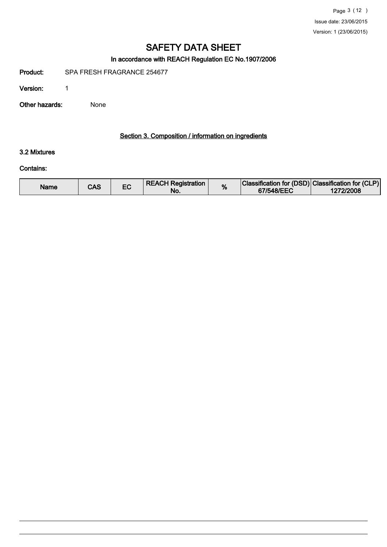# In accordance with REACH Regulation EC No.1907/2006

Product: SPA FRESH FRAGRANCE 254677

Version: 1

Other hazards: None

#### Section 3. Composition / information on ingredients

#### 3.2 Mixtures

### Contains:

| Name | CAS |  | <b>REACH Registration</b><br>NO. | % | Classification for (DSD) Classification for (CLP)<br>67/548/EEC | 1272/2008 |
|------|-----|--|----------------------------------|---|-----------------------------------------------------------------|-----------|
|------|-----|--|----------------------------------|---|-----------------------------------------------------------------|-----------|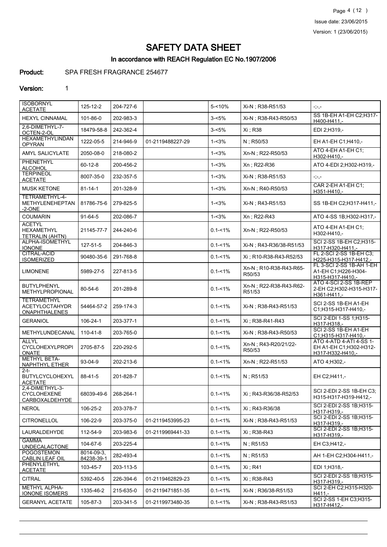Page 4 (12 ) Issue date: 23/06/2015 Version: 1 (23/06/2015)

# SAFETY DATA SHEET

# In accordance with REACH Regulation EC No.1907/2006

Product: SPA FRESH FRAGRANCE 254677

### Version: 1

| <b>ISOBORNYL</b><br><b>ACETATE</b>                                  | 125-12-2                 | 204-727-6 |                  | $5 - 10%$   | Xi-N; R38-R51/53                 | $\mathbb{H}^1_{\mathbb{R}^n,\mathbb{R}^n}$                            |
|---------------------------------------------------------------------|--------------------------|-----------|------------------|-------------|----------------------------------|-----------------------------------------------------------------------|
| <b>HEXYL CINNAMAL</b>                                               | 101-86-0                 | 202-983-3 |                  | $3 - 5%$    | Xi-N; R38-R43-R50/53             | SS 1B-EH A1-EH C2; H317-<br>H400-H411,-                               |
| 2,6-DIMETHYL-7-<br>OCTEN-2-OL                                       | 18479-58-8               | 242-362-4 |                  | $3 - 5%$    | Xi : R38                         | EDI 2;H319,-                                                          |
| <b>HEXAMETHYLINDAN</b><br><b>OPYRAN</b>                             | 1222-05-5                | 214-946-9 | 01-2119488227-29 | $1 - 3%$    | N: R50/53                        | EH A1-EH C1; H410,-                                                   |
| AMYL SALICYLATE                                                     | 2050-08-0                | 218-080-2 |                  | $1 - 3%$    | Xn-N; R22-R50/53                 | ATO 4-EH A1-EH C1;<br>H302-H410,-                                     |
| <b>PHENETHYL</b><br><b>ALCOHOL</b>                                  | $60 - 12 - 8$            | 200-456-2 |                  | $1 - 3%$    | Xn; R22-R36                      | ATO 4-EDI 2; H302-H319,-                                              |
| <b>TERPINEOL</b><br><b>ACETATE</b>                                  | 8007-35-0                | 232-357-5 |                  | $1 - 3%$    | Xi-N; R38-R51/53                 | $\mathbb{H}^1_{\mathbb{R}^n,\mathbb{R}^n}$                            |
| <b>MUSK KETONE</b>                                                  | $81 - 14 - 1$            | 201-328-9 |                  | $1 - 3%$    | Xn-N; R40-R50/53                 | CAR 2-EH A1-EH C1;<br>H351-H410,-                                     |
| TETRAMETHYL-4-<br>METHYLENEHEPTAN<br>$-2-ONE$                       | 81786-75-6               | 279-825-5 |                  | $1 - 3%$    | Xi-N; R43-R51/53                 | SS 1B-EH C2; H317-H411,-                                              |
| <b>COUMARIN</b>                                                     | $91 - 64 - 5$            | 202-086-7 |                  | $1 - 3%$    | Xn; R22-R43                      | ATO 4-SS 1B; H302-H317,-                                              |
| <b>ACETYL</b><br>HEXAMETHYL<br><b>TETRALIN (AHTN)</b>               | 21145-77-7               | 244-240-6 |                  | $0.1 - 1\%$ | Xn-N; R22-R50/53                 | ATO 4-EH A1-EH C1;<br>H302-H410,-                                     |
| ALPHA-ISOMETHYL<br><b>IONONE</b>                                    | 127-51-5                 | 204-846-3 |                  | $0.1 - 1\%$ | Xi-N ; R43-R36/38-R51/53         | SCI 2-SS 1B-EH C2;H315-<br>H317-H320-H411 -                           |
| CITRAL-ACID<br><b>ISOMERIZED</b>                                    | 90480-35-6               | 291-768-8 |                  | $0.1 - 1\%$ | Xi: R10-R38-R43-R52/53           | FL 2-SCI 2-SS 1B-EH C3;<br>H225-H315-H317-H412.-                      |
| <b>LIMONENE</b>                                                     | 5989-27-5                | 227-813-5 |                  | $0.1 - 1\%$ | Xn-N; R10-R38-R43-R65-<br>R50/53 | FL 3-SCI 2-SS 1B-AH 1-EH<br>A1-EH C1;H226-H304-<br>H315-H317-H410,-   |
| <b>BUTYLPHENYL</b><br>METHYLPROPIONAL                               | 80-54-6                  | 201-289-8 |                  | $0.1 - 1\%$ | Xn-N; R22-R38-R43-R62-<br>R51/53 | ATO 4-SCI 2-SS 1B-REP<br>2-EH C2;H302-H315-H317-<br>H361-H411,-       |
| <b>TETRAMETHYL</b><br><b>ACETYLOCTAHYDR</b><br><b>ONAPHTHALENES</b> | 54464-57-2               | 259-174-3 |                  | $0.1 - 1\%$ | Xi-N; R38-R43-R51/53             | SCI 2-SS 1B-EH A1-EH<br>C1;H315-H317-H410,-                           |
| <b>GERANIOL</b>                                                     | 106-24-1                 | 203-377-1 |                  | $0.1 - 1\%$ | Xi ; R38-R41-R43                 | SCI 2-EDI 1-SS 1;H315-<br>H317-H318,-                                 |
| METHYLUNDECANAL                                                     | 110-41-8                 | 203-765-0 |                  | $0.1 - 1\%$ | Xi-N; R38-R43-R50/53             | SCI 2-SS 1B-EH A1-EH<br>C1;H315-H317-H410,-                           |
| <b>ALLYL</b><br><b>CYCLOHEXYLPROPI</b><br><b>ONATE</b>              | 2705-87-5                | 220-292-5 |                  | $0.1 - 1\%$ | Xn-N; R43-R20/21/22-<br>R50/53   | ATO 4-ATD 4-ATI 4-SS 1-<br>EH A1-EH C1:H302-H312-<br>H317-H332-H410,- |
| <b>METHYL BETA-</b><br>NAPHTHYL ETHER                               | 93-04-9                  | 202-213-6 |                  | $0.1 - 1\%$ | Xn-N; R22-R51/53                 | ATO 4:H302,-                                                          |
| $2-t-$<br>BUTYLCYCLOHEXYL<br><b>ACETATE</b>                         | 88-41-5                  | 201-828-7 |                  | $0.1 - 1\%$ | N; R51/53                        | EH C2;H411,-                                                          |
| 2,4-DIMETHYL-3-<br>CYCLOHEXENE<br>CARBOXALDEHYDE                    | 68039-49-6               | 268-264-1 |                  | $0.1 - 1\%$ | Xi ; R43-R36/38-R52/53           | SCI 2-EDI 2-SS 1B-EH C3;<br>H315-H317-H319-H412,-                     |
| <b>NEROL</b>                                                        | 106-25-2                 | 203-378-7 |                  | $0.1 - 1\%$ | Xi : R43-R36/38                  | SCI 2-EDI 2-SS 1B:H315-<br>H317-H319,-                                |
| <b>CITRONELLOL</b>                                                  | 106-22-9                 | 203-375-0 | 01-2119453995-23 | $0.1 - 1\%$ | Xi-N; R38-R43-R51/53             | SCI 2-EDI 2-SS 1B;H315-<br>H317-H319,-                                |
| LAURALDEHYDE                                                        | 112-54-9                 | 203-983-6 | 01-2119969441-33 | $0.1 - 1\%$ | Xi : R38-R43                     | SCI 2-EDI 2-SS 1B;H315-<br>H317-H319,-                                |
| <b>GAMMA</b><br><b>UNDECALACTONE</b>                                | 104-67-6                 | 203-225-4 |                  | $0.1 - 1\%$ | N; R51/53                        | EH C3;H412,-                                                          |
| <b>POGOSTEMON</b><br>CABLIN LEAF OIL                                | 8014-09-3.<br>84238-39-1 | 282-493-4 |                  | $0.1 - 1\%$ | N : R51/53                       | AH 1-EH C2;H304-H411,-                                                |
| PHENYLETHYL<br><b>ACETATE</b>                                       | 103-45-7                 | 203-113-5 |                  | $0.1 - 1\%$ | Xi ; R41                         | EDI 1;H318,-                                                          |
| <b>CITRAL</b>                                                       | 5392-40-5                | 226-394-6 | 01-2119462829-23 | 0.1-<1%     | Xi ; R38-R43                     | SCI 2-EDI 2-SS 1B:H315-<br>H317-H319,-                                |
| <b>METHYL ALPHA-</b><br><b>IONONE ISOMERS</b>                       | 1335-46-2                | 215-635-0 | 01-2119471851-35 | 0.1-<1%     | Xi-N; R36/38-R51/53              | SCI 2-EH C2; H315-H320-<br>$H411. -$                                  |
| <b>GERANYL ACETATE</b>                                              | 105-87-3                 | 203-341-5 | 01-2119973480-35 | 0.1-<1%     | Xi-N; R38-R43-R51/53             | SCI 2-SS 1-EH C3;H315-<br>H317-H412,-                                 |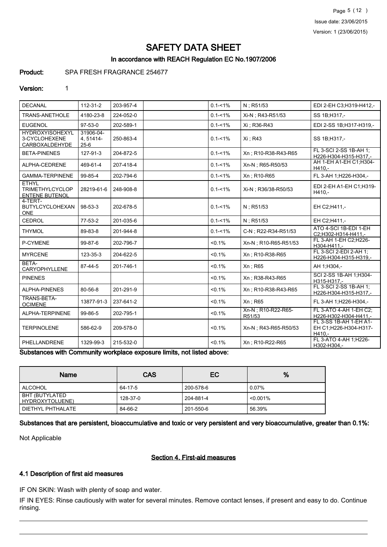Page 5 (12 ) Issue date: 23/06/2015 Version: 1 (23/06/2015)

# SAFETY DATA SHEET

## In accordance with REACH Regulation EC No.1907/2006

Product: SPA FRESH FRAGRANCE 254677

#### Version: 1

| <b>DECANAL</b>                                                  | $112 - 31 - 2$                   | 203-957-4 | $0.1 - 1\%$ | N; R51/53                     | EDI 2-EH C3:H319-H412,-                                   |
|-----------------------------------------------------------------|----------------------------------|-----------|-------------|-------------------------------|-----------------------------------------------------------|
| <b>TRANS-ANETHOLE</b>                                           | 4180-23-8                        | 224-052-0 | $0.1 - 1\%$ | Xi-N ; R43-R51/53             | SS 1B:H317,-                                              |
| <b>EUGENOL</b>                                                  | $97-53-0$                        | 202-589-1 | $0.1 - 1\%$ | Xi : R36-R43                  | EDI 2-SS 1B;H317-H319,-                                   |
| <b>HYDROXYISOHEXYL</b><br>3-CYCLOHEXENE<br>CARBOXALDEHYDE       | 31906-04-<br>4, 51414-<br>$25-6$ | 250-863-4 | $0.1 - 1\%$ | Xi ; R43                      | SS 1B:H317,-                                              |
| <b>BETA-PINENES</b>                                             | 127-91-3                         | 204-872-5 | $0.1 - 1\%$ | Xn: R10-R38-R43-R65           | FL 3-SCI 2-SS 1B-AH 1:<br>H226-H304-H315-H317,-           |
| ALPHA-CEDRENE                                                   | 469-61-4                         | 207-418-4 | $0.1 - 1\%$ | Xn-N ; R65-R50/53             | AH 1-EH A1-EH C1; H304-<br>H410.-                         |
| <b>GAMMA-TERPINENE</b>                                          | 99-85-4                          | 202-794-6 | $0.1 - 1\%$ | Xn : R10-R65                  | FL 3-AH 1:H226-H304,-                                     |
| <b>ETHYL</b><br><b>TRIMETHYLCYCLOP</b><br><b>ENTENE BUTENOL</b> | 28219-61-6                       | 248-908-8 | $0.1 - 1\%$ | Xi-N ; R36/38-R50/53          | EDI 2-EH A1-EH C1:H319-<br>$H410 -$                       |
| 4-TERT-<br><b>BUTYLCYCLOHEXAN</b><br><b>ONE</b>                 | 98-53-3                          | 202-678-5 | $0.1 - 1\%$ | N: R51/53                     | EH C2:H411,-                                              |
| <b>CEDROL</b>                                                   | 77-53-2                          | 201-035-6 | $0.1 - 1\%$ | N; R51/53                     | EH C2:H411,-                                              |
| <b>THYMOL</b>                                                   | 89-83-8                          | 201-944-8 | $0.1 - 1\%$ | C-N ; R22-R34-R51/53          | ATO 4-SCI 1B-EDI 1-EH<br>C2:H302-H314-H411.-              |
| P-CYMENE                                                        | 99-87-6                          | 202-796-7 | < 0.1%      | Xn-N ; R10-R65-R51/53         | FL 3-AH 1-EH C2:H226-<br>H304-H411 .-                     |
| <b>MYRCENE</b>                                                  | 123-35-3                         | 204-622-5 | < 0.1%      | Xn: R10-R38-R65               | FL 3-SCI 2-EDI 2-AH 1;<br>H226-H304-H315-H319 -           |
| BETA-<br>CARYOPHYLLENE                                          | 87-44-5                          | 201-746-1 | < 0.1%      | Xn : R65                      | AH 1:H304,-                                               |
| <b>PINENES</b>                                                  |                                  |           | < 0.1%      | Xn: R38-R43-R65               | SCI 2-SS 1B-AH 1; H304-<br>H315-H317.-                    |
| ALPHA-PINENES                                                   | 80-56-8                          | 201-291-9 | < 0.1%      | Xn: R10-R38-R43-R65           | FL 3-SCI 2-SS 1B-AH 1;<br>H226-H304-H315-H317 .-          |
| TRANS-BETA-<br><b>OCIMENE</b>                                   | 13877-91-3                       | 237-641-2 | < 0.1%      | Xn : R65                      | FL 3-AH 1;H226-H304,-                                     |
| ALPHA-TERPINENE                                                 | 99-86-5                          | 202-795-1 | < 0.1%      | Xn-N ; R10-R22-R65-<br>R51/53 | FL 3-ATO 4-AH 1-EH C2:<br>H226-H302-H304-H411,-           |
| <b>TERPINOLENE</b>                                              | 586-62-9                         | 209-578-0 | < 0.1%      | Xn-N : R43-R65-R50/53         | FL 3-SS 1B-AH 1-EH A1-<br>EH C1;H226-H304-H317-<br>H410.- |
| PHELLANDRENE                                                    | 1329-99-3                        | 215-532-0 | < 0.1%      | Xn: R10-R22-R65               | FL 3-ATO 4-AH 1;H226-<br>H302-H304,-                      |

Substances with Community workplace exposure limits, not listed above:

| <b>Name</b>                       | <b>CAS</b> | EC.       | %           |
|-----------------------------------|------------|-----------|-------------|
| ALCOHOL                           | 64-17-5    | 200-578-6 | $0.07\%$    |
| BHT (BUTYLATED<br>HYDROXYTOLUENE) | 128-37-0   | 204-881-4 | $< 0.001\%$ |
| DIETHYL PHTHALATE                 | 84-66-2    | 201-550-6 | 56.39%      |

Substances that are persistent, bioaccumulative and toxic or very persistent and very bioaccumulative, greater than 0.1%:

Not Applicable

#### Section 4. First-aid measures

#### 4.1 Description of first aid measures

IF ON SKIN: Wash with plenty of soap and water.

IF IN EYES: Rinse cautiously with water for several minutes. Remove contact lenses, if present and easy to do. Continue rinsing.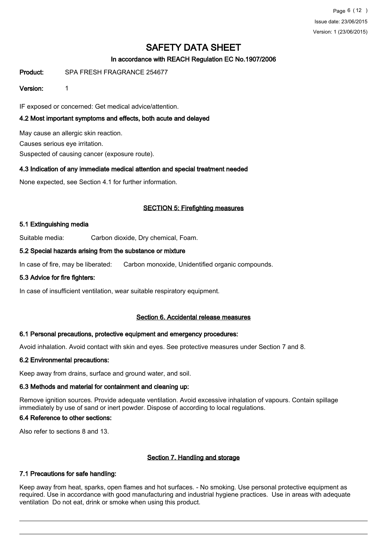Page 6 (12 ) Issue date: 23/06/2015 Version: 1 (23/06/2015)

# SAFETY DATA SHEET

## In accordance with REACH Regulation EC No.1907/2006

Product: SPA FRESH FRAGRANCE 254677

#### Version: 1

IF exposed or concerned: Get medical advice/attention.

### 4.2 Most important symptoms and effects, both acute and delayed

May cause an allergic skin reaction.

Causes serious eye irritation.

Suspected of causing cancer (exposure route).

### 4.3 Indication of any immediate medical attention and special treatment needed

None expected, see Section 4.1 for further information.

### SECTION 5: Firefighting measures

#### 5.1 Extinguishing media

Suitable media: Carbon dioxide, Dry chemical, Foam.

#### 5.2 Special hazards arising from the substance or mixture

In case of fire, may be liberated: Carbon monoxide, Unidentified organic compounds.

#### 5.3 Advice for fire fighters:

In case of insufficient ventilation, wear suitable respiratory equipment.

#### Section 6. Accidental release measures

#### 6.1 Personal precautions, protective equipment and emergency procedures:

Avoid inhalation. Avoid contact with skin and eyes. See protective measures under Section 7 and 8.

#### 6.2 Environmental precautions:

Keep away from drains, surface and ground water, and soil.

## 6.3 Methods and material for containment and cleaning up:

Remove ignition sources. Provide adequate ventilation. Avoid excessive inhalation of vapours. Contain spillage immediately by use of sand or inert powder. Dispose of according to local regulations.

## 6.4 Reference to other sections:

Also refer to sections 8 and 13.

# Section 7. Handling and storage

# 7.1 Precautions for safe handling:

Keep away from heat, sparks, open flames and hot surfaces. - No smoking. Use personal protective equipment as required. Use in accordance with good manufacturing and industrial hygiene practices. Use in areas with adequate ventilation Do not eat, drink or smoke when using this product.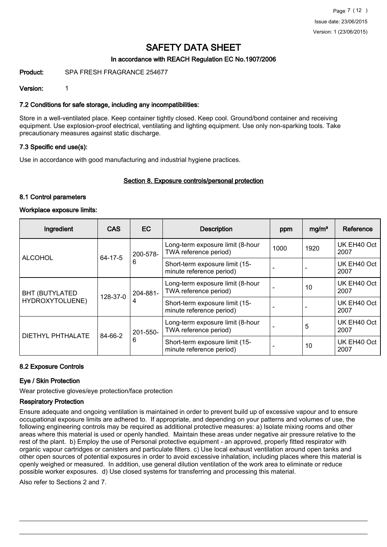## In accordance with REACH Regulation EC No.1907/2006

Product: SPA FRESH FRAGRANCE 254677

Version: 1

### 7.2 Conditions for safe storage, including any incompatibilities:

Store in a well-ventilated place. Keep container tightly closed. Keep cool. Ground/bond container and receiving equipment. Use explosion-proof electrical, ventilating and lighting equipment. Use only non-sparking tools. Take precautionary measures against static discharge.

## 7.3 Specific end use(s):

Use in accordance with good manufacturing and industrial hygiene practices.

### Section 8. Exposure controls/personal protection

#### 8.1 Control parameters

#### Workplace exposure limits:

| Ingredient                        | <b>CAS</b>    | EC.           | <b>Description</b>                                         | ppm  | mg/m <sup>3</sup>        | Reference           |
|-----------------------------------|---------------|---------------|------------------------------------------------------------|------|--------------------------|---------------------|
| <b>ALCOHOL</b>                    | $64 - 17 - 5$ | 200-578-<br>6 | Long-term exposure limit (8-hour<br>TWA reference period)  | 1000 | 1920                     | UK EH40 Oct<br>2007 |
|                                   |               |               | Short-term exposure limit (15-<br>minute reference period) |      |                          | UK EH40 Oct<br>2007 |
| BHT (BUTYLATED<br>HYDROXYTOLUENE) | 128-37-0      | 204-881-<br>4 | Long-term exposure limit (8-hour<br>TWA reference period)  |      | 10                       | UK EH40 Oct<br>2007 |
|                                   |               |               | Short-term exposure limit (15-<br>minute reference period) |      | $\overline{\phantom{a}}$ | UK EH40 Oct<br>2007 |
| <b>DIETHYL PHTHALATE</b>          | 84-66-2       | 201-550-<br>6 | Long-term exposure limit (8-hour<br>TWA reference period)  |      | 5                        | UK EH40 Oct<br>2007 |
|                                   |               |               | Short-term exposure limit (15-<br>minute reference period) |      | 10                       | UK EH40 Oct<br>2007 |

### 8.2 Exposure Controls

### Eye / Skin Protection

Wear protective gloves/eye protection/face protection

### Respiratory Protection

Ensure adequate and ongoing ventilation is maintained in order to prevent build up of excessive vapour and to ensure occupational exposure limits are adhered to. If appropriate, and depending on your patterns and volumes of use, the following engineering controls may be required as additional protective measures: a) Isolate mixing rooms and other areas where this material is used or openly handled. Maintain these areas under negative air pressure relative to the rest of the plant. b) Employ the use of Personal protective equipment - an approved, properly fitted respirator with organic vapour cartridges or canisters and particulate filters. c) Use local exhaust ventilation around open tanks and other open sources of potential exposures in order to avoid excessive inhalation, including places where this material is openly weighed or measured. In addition, use general dilution ventilation of the work area to eliminate or reduce possible worker exposures. d) Use closed systems for transferring and processing this material.

Also refer to Sections 2 and 7.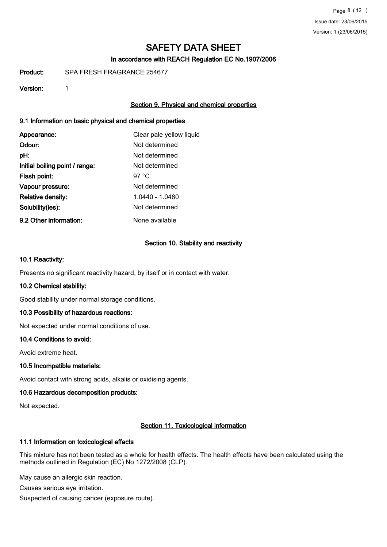## In accordance with REACH Regulation EC No.1907/2006

Product: SPA FRESH FRAGRANCE 254677

#### Version: 1

## Section 9. Physical and chemical properties

#### 9.1 Information on basic physical and chemical properties

| Appearance:                    | Clear pale yellow liquid |
|--------------------------------|--------------------------|
| Odour:                         | Not determined           |
| pH:                            | Not determined           |
| Initial boiling point / range: | Not determined           |
| Flash point:                   | 97 $°C$                  |
| Vapour pressure:               | Not determined           |
| <b>Relative density:</b>       | 1.0440 - 1.0480          |
| Solubility(ies):               | Not determined           |
| 9.2 Other information:         | None available           |

#### Section 10. Stability and reactivity

#### 10.1 Reactivity:

Presents no significant reactivity hazard, by itself or in contact with water.

#### 10.2 Chemical stability:

Good stability under normal storage conditions.

#### 10.3 Possibility of hazardous reactions:

Not expected under normal conditions of use.

#### 10.4 Conditions to avoid:

Avoid extreme heat.

#### 10.5 Incompatible materials:

Avoid contact with strong acids, alkalis or oxidising agents.

#### 10.6 Hazardous decomposition products:

Not expected.

### Section 11. Toxicological information

#### 11.1 Information on toxicological effects

This mixture has not been tested as a whole for health effects. The health effects have been calculated using the methods outlined in Regulation (EC) No 1272/2008 (CLP).

May cause an allergic skin reaction.

Causes serious eye irritation.

Suspected of causing cancer (exposure route).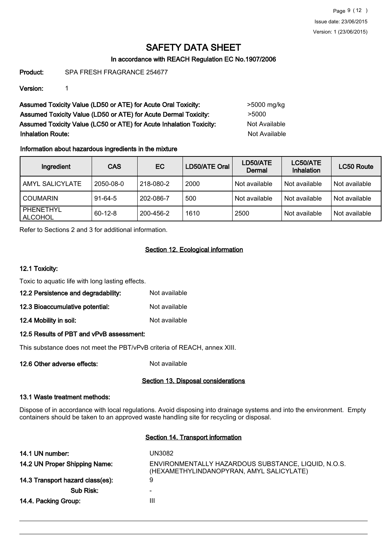## In accordance with REACH Regulation EC No.1907/2006

Product: SPA FRESH FRAGRANCE 254677

Version: 1

Assumed Toxicity Value (LD50 or ATE) for Acute Oral Toxicity: >5000 mg/kg Assumed Toxicity Value (LD50 or ATE) for Acute Dermal Toxicity: > 5000 Assumed Toxicity Value (LC50 or ATE) for Acute Inhalation Toxicity: Not Available **Inhalation Route:** Not Available

## Information about hazardous ingredients in the mixture

| Ingredient           | <b>CAS</b>    | EC        | LD50/ATE Oral | LD50/ATE<br>Dermal | LC50/ATE<br><b>Inhalation</b> | LC50 Route    |
|----------------------|---------------|-----------|---------------|--------------------|-------------------------------|---------------|
| AMYL SALICYLATE      | 2050-08-0     | 218-080-2 | 2000          | Not available      | Not available                 | Not available |
| <b>COUMARIN</b>      | $91 - 64 - 5$ | 202-086-7 | 500           | Not available      | Not available                 | Not available |
| PHENETHYL<br>ALCOHOL | $60-12-8$     | 200-456-2 | 1610          | 2500               | Not available                 | Not available |

Refer to Sections 2 and 3 for additional information.

## Section 12. Ecological information

### 12.1 Toxicity:

Toxic to aquatic life with long lasting effects.

- 12.2 Persistence and degradability: Not available
- 12.3 Bioaccumulative potential: Not available
- 12.4 Mobility in soil: Not available

### 12.5 Results of PBT and vPvB assessment:

This substance does not meet the PBT/vPvB criteria of REACH, annex XIII.

12.6 Other adverse effects: Not available

### Section 13. Disposal considerations

#### 13.1 Waste treatment methods:

Dispose of in accordance with local regulations. Avoid disposing into drainage systems and into the environment. Empty containers should be taken to an approved waste handling site for recycling or disposal.

### Section 14. Transport information

| 14.1 UN number:                  | UN3082                                                                                          |
|----------------------------------|-------------------------------------------------------------------------------------------------|
| 14.2 UN Proper Shipping Name:    | ENVIRONMENTALLY HAZARDOUS SUBSTANCE, LIQUID, N.O.S.<br>(HEXAMETHYLINDANOPYRAN, AMYL SALICYLATE) |
| 14.3 Transport hazard class(es): | 9                                                                                               |
| Sub Risk:                        | $\overline{\phantom{0}}$                                                                        |
| 14.4. Packing Group:             | Ш                                                                                               |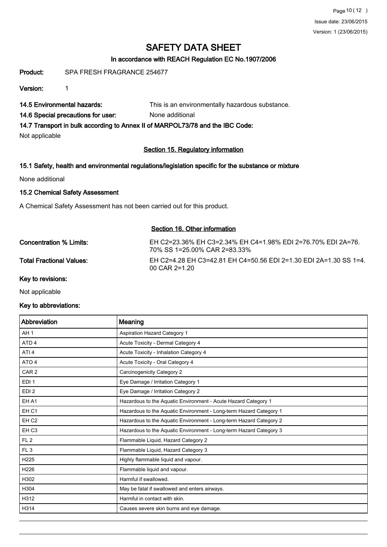## In accordance with REACH Regulation EC No.1907/2006

Product: SPA FRESH FRAGRANCE 254677

Version: 1

14.5 Environmental hazards: This is an environmentally hazardous substance.

14.6 Special precautions for user: None additional

14.7 Transport in bulk according to Annex II of MARPOL73/78 and the IBC Code:

Not applicable

### Section 15. Regulatory information

#### 15.1 Safety, health and environmental regulations/legislation specific for the substance or mixture

None additional

### 15.2 Chemical Safety Assessment

A Chemical Safety Assessment has not been carried out for this product.

#### Section 16. Other information

| Concentration % Limits:         | EH C2=23.36% EH C3=2.34% EH C4=1.98% EDI 2=76.70% EDI 2A=76.<br>70% SS 1=25.00% CAR 2=83.33% |
|---------------------------------|----------------------------------------------------------------------------------------------|
| <b>Total Fractional Values:</b> | EH C2=4.28 EH C3=42.81 EH C4=50.56 EDI 2=1.30 EDI 2A=1.30 SS 1=4.<br>$00$ CAR 2=1.20         |

Key to revisions:

Not applicable

#### Key to abbreviations:

| Abbreviation     | Meaning                                                            |
|------------------|--------------------------------------------------------------------|
| AH <sub>1</sub>  | Aspiration Hazard Category 1                                       |
| ATD <sub>4</sub> | Acute Toxicity - Dermal Category 4                                 |
| ATI <sub>4</sub> | Acute Toxicity - Inhalation Category 4                             |
| ATO 4            | Acute Toxicity - Oral Category 4                                   |
| CAR <sub>2</sub> | Carcinogenicity Category 2                                         |
| EDI <sub>1</sub> | Eye Damage / Irritation Category 1                                 |
| EDI <sub>2</sub> | Eye Damage / Irritation Category 2                                 |
| EH A1            | Hazardous to the Aquatic Environment - Acute Hazard Category 1     |
| EH <sub>C1</sub> | Hazardous to the Aquatic Environment - Long-term Hazard Category 1 |
| EH <sub>C2</sub> | Hazardous to the Aquatic Environment - Long-term Hazard Category 2 |
| EH <sub>C3</sub> | Hazardous to the Aquatic Environment - Long-term Hazard Category 3 |
| FL <sub>2</sub>  | Flammable Liquid, Hazard Category 2                                |
| FL <sub>3</sub>  | Flammable Liquid, Hazard Category 3                                |
| H225             | Highly flammable liquid and vapour.                                |
| H226             | Flammable liquid and vapour.                                       |
| H302             | Harmful if swallowed.                                              |
| H304             | May be fatal if swallowed and enters airways.                      |
| H312             | Harmful in contact with skin.                                      |
| H314             | Causes severe skin burns and eye damage.                           |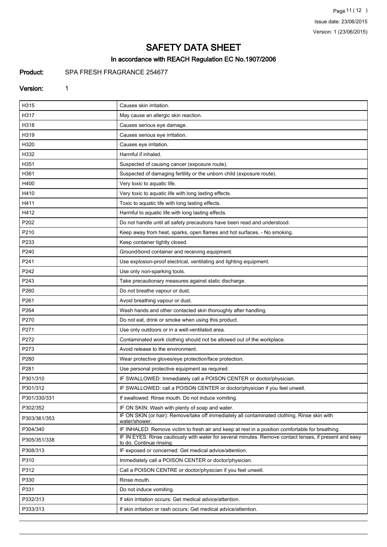Page 11 (12) Issue date: 23/06/2015 Version: 1 (23/06/2015)

# SAFETY DATA SHEET

# In accordance with REACH Regulation EC No.1907/2006

## Product: SPA FRESH FRAGRANCE 254677

#### Version: 1

| H315         | Causes skin irritation.                                                                                                             |
|--------------|-------------------------------------------------------------------------------------------------------------------------------------|
| H317         | May cause an allergic skin reaction.                                                                                                |
| H318         | Causes serious eye damage.                                                                                                          |
| H319         | Causes serious eye irritation.                                                                                                      |
| H320         | Causes eye irritation.                                                                                                              |
| H332         | Harmful if inhaled.                                                                                                                 |
| H351         | Suspected of causing cancer (exposure route).                                                                                       |
| H361         | Suspected of damaging fertility or the unborn child (exposure route).                                                               |
| H400         | Very toxic to aquatic life.                                                                                                         |
| H410         | Very toxic to aquatic life with long lasting effects.                                                                               |
| H411         | Toxic to aquatic life with long lasting effects.                                                                                    |
| H412         | Harmful to aquatic life with long lasting effects.                                                                                  |
| P202         | Do not handle until all safety precautions have been read and understood.                                                           |
| P210         | Keep away from heat, sparks, open flames and hot surfaces. - No smoking.                                                            |
| P233         | Keep container tightly closed.                                                                                                      |
| P240         | Ground/bond container and receiving equipment.                                                                                      |
| P241         | Use explosion-proof electrical, ventilating and lighting equipment.                                                                 |
| P242         | Use only non-sparking tools.                                                                                                        |
| P243         | Take precautionary measures against static discharge.                                                                               |
| P260         | Do not breathe vapour or dust.                                                                                                      |
| P261         | Avoid breathing vapour or dust.                                                                                                     |
| P264         | Wash hands and other contacted skin thoroughly after handling.                                                                      |
| P270         | Do not eat, drink or smoke when using this product.                                                                                 |
| P271         | Use only outdoors or in a well-ventilated area.                                                                                     |
| P272         | Contaminated work clothing should not be allowed out of the workplace.                                                              |
| P273         | Avoid release to the environment.                                                                                                   |
| P280         | Wear protective gloves/eye protection/face protection.                                                                              |
| P281         | Use personal protective equipment as required.                                                                                      |
| P301/310     | IF SWALLOWED: Immediately call a POISON CENTER or doctor/physician.                                                                 |
| P301/312     | IF SWALLOWED: call a POISON CENTER or doctor/physician if you feel unwell.                                                          |
| P301/330/331 | If swallowed: Rinse mouth. Do not induce vomiting.                                                                                  |
| P302/352     | IF ON SKIN: Wash with plenty of soap and water.                                                                                     |
| P303/361/353 | IF ON SKIN (or hair): Remove/take off immediately all contaminated clothing. Rinse skin with<br>water/shower.                       |
| P304/340     | IF INHALED: Remove victim to fresh air and keep at rest in a position comfortable for breathing.                                    |
| P305/351/338 | IF IN EYES: Rinse cautiously with water for several minutes. Remove contact lenses, if present and easy<br>to do. Continue rinsing. |
| P308/313     | IF exposed or concerned: Get medical advice/attention.                                                                              |
| P310         | Immediately call a POISON CENTER or doctor/physician.                                                                               |
| P312         | Call a POISON CENTRE or doctor/physician if you feel unwell.                                                                        |
| P330         | Rinse mouth.                                                                                                                        |
| P331         | Do not induce vomiting.                                                                                                             |
| P332/313     | If skin irritation occurs: Get medical advice/attention.                                                                            |
| P333/313     | If skin irritation or rash occurs: Get medical advice/attention.                                                                    |
|              |                                                                                                                                     |